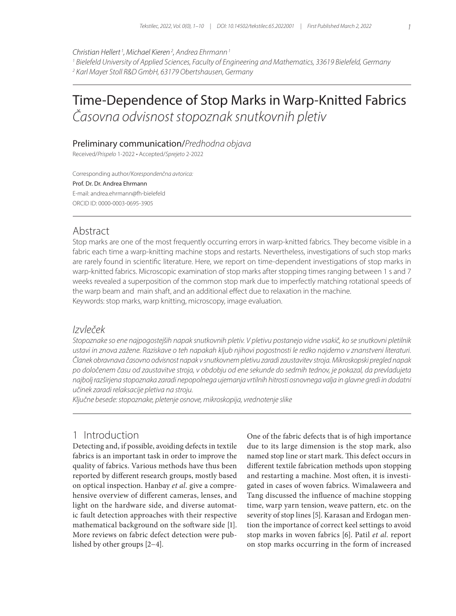*Christian Hellert <sup>1</sup> , Michael Kieren2 , Andrea Ehrmann1*

*1 Bielefeld University of Applied Sciences, Faculty of Engineering and Mathematics, 33619 Bielefeld, Germany 2 Karl Mayer Stoll R&D GmbH, 63179 Obertshausen, Germany*

# Time-Dependence of Stop Marks in Warp-Knitted Fabrics *Časovna odvisnost stopoznak snutkovnih pletiv*

#### Preliminary communication/*Predhodna objava*

Received/*Prispelo* 1-2022 • Accepted/*Sprejeto* 2-2022

Corresponding author/*Korespondenčna avtorica:*

Prof. Dr. Dr. Andrea Ehrmann E-mail: andrea.ehrmann@fh-bielefeld ORCID ID: 0000-0003-0695-3905

#### Abstract

Stop marks are one of the most frequently occurring errors in warp-knitted fabrics. They become visible in a fabric each time a warp-knitting machine stops and restarts. Nevertheless, investigations of such stop marks are rarely found in scientific literature. Here, we report on time-dependent investigations of stop marks in warp-knitted fabrics. Microscopic examination of stop marks after stopping times ranging between 1 s and 7 weeks revealed a superposition of the common stop mark due to imperfectly matching rotational speeds of the warp beam and main shaft, and an additional effect due to relaxation in the machine. Keywords: stop marks, warp knitting, microscopy, image evaluation.

#### *Izvleček*

*Stopoznake so ene najpogostejših napak snutkovnih pletiv. V pletivu postanejo vidne vsakič, ko se snutkovni pletilnik ustavi in znova zažene. Raziskave o teh napakah kljub njihovi pogostnosti le redko najdemo v znanstveni literaturi. Članek obravnava časovno odvisnost napak v snutkovnem pletivu zaradi zaustavitev stroja. Mikroskopski pregled napak po določenem času od zaustavitve stroja, v obdobju od ene sekunde do sedmih tednov, je pokazal, da prevladujeta najbolj razširjena stopoznaka zaradi nepopolnega ujemanja vrtilnih hitrosti osnovnega valja in glavne gredi in dodatni učinek zaradi relaksacije pletiva na stroju.*

*Ključne besede: stopoznake, pletenje osnove, mikroskopija, vrednotenje slike*

### 1 Introduction

Detecting and, if possible, avoiding defects in textile fabrics is an important task in order to improve the quality of fabrics. Various methods have thus been reported by different research groups, mostly based on optical inspection. Hanbay *et al.* give a comprehensive overview of different cameras, lenses, and light on the hardware side, and diverse automatic fault detection approaches with their respective mathematical background on the software side [1]. More reviews on fabric defect detection were published by other groups [2−4].

One of the fabric defects that is of high importance due to its large dimension is the stop mark, also named stop line or start mark. This defect occurs in different textile fabrication methods upon stopping and restarting a machine. Most often, it is investigated in cases of woven fabrics. Wimalaweera and Tang discussed the influence of machine stopping time, warp yarn tension, weave pattern, etc. on the severity of stop lines [5]. Karasan and Erdogan mention the importance of correct keel settings to avoid stop marks in woven fabrics [6]. Patil *et al.* report on stop marks occurring in the form of increased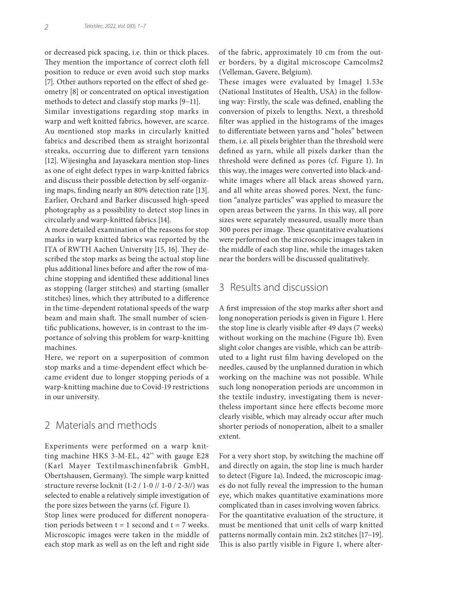or decreased pick spacing, i.e. thin or thick places. They mention the importance of correct cloth fell position to reduce or even avoid such stop marks [7]. Other authors reported on the effect of shed geometry [8] or concentrated on optical investigation methods to detect and classify stop marks [9−11].

Similar investigations regarding stop marks in warp and weft knitted fabrics, however, are scarce. Au mentioned stop marks in circularly knitted fabrics and described them as straight horizontal streaks, occurring due to different yarn tensions [12]. Wijesingha and Jayasekara mention stop-lines as one of eight defect types in warp-knitted fabrics and discuss their possible detection by self-organizing maps, finding nearly an 80% detection rate [13]. Earlier, Orchard and Barker discussed high-speed photography as a possibility to detect stop lines in circularly and warp-knitted fabrics [14].

A more detailed examination of the reasons for stop marks in warp knitted fabrics was reported by the ITA of RWTH Aachen University [15, 16]. They described the stop marks as being the actual stop line plus additional lines before and after the row of machine stopping and identified these additional lines as stopping (larger stitches) and starting (smaller stitches) lines, which they attributed to a difference in the time-dependent rotational speeds of the warp beam and main shaft. The small number of scientific publications, however, is in contrast to the importance of solving this problem for warp-knitting machines.

Here, we report on a superposition of common stop marks and a time-dependent effect which became evident due to longer stopping periods of a warp-knitting machine due to Covid-19 restrictions in our university.

## 2 Materials and methods

Experiments were performed on a warp knitting machine HKS 3-M-EL, 42'' with gauge E28 (Karl Mayer Textilmaschinenfabrik GmbH, Obertshausen, Germany). The simple warp knitted structure reverse locknit (1-2 / 1-0 // 1-0 / 2-3//) was selected to enable a relatively simple investigation of the pore sizes between the yarns (cf. Figure 1).

Stop lines were produced for different nonoperation periods between  $t = 1$  second and  $t = 7$  weeks. Microscopic images were taken in the middle of each stop mark as well as on the left and right side of the fabric, approximately 10 cm from the outer borders, by a digital microscope Camcolms2 (Velleman, Gavere, Belgium).

These images were evaluated by ImageJ 1.53e (National Institutes of Health, USA) in the following way: Firstly, the scale was defined, enabling the conversion of pixels to lengths. Next, a threshold filter was applied in the histograms of the images to differentiate between yarns and "holes" between them, i.e. all pixels brighter than the threshold were defined as yarn, while all pixels darker than the threshold were defined as pores (cf. Figure 1). In this way, the images were converted into black-andwhite images where all black areas showed yarn, and all white areas showed pores. Next, the function "analyze particles" was applied to measure the open areas between the yarns. In this way, all pore sizes were separately measured, usually more than 300 pores per image. These quantitative evaluations were performed on the microscopic images taken in the middle of each stop line, while the images taken near the borders will be discussed qualitatively.

## 3 Results and discussion

A first impression of the stop marks after short and long nonoperation periods is given in Figure 1. Here the stop line is clearly visible after 49 days (7 weeks) without working on the machine (Figure 1b). Even slight color changes are visible, which can be attributed to a light rust film having developed on the needles, caused by the unplanned duration in which working on the machine was not possible. While such long nonoperation periods are uncommon in the textile industry, investigating them is nevertheless important since here effects become more clearly visible, which may already occur after much shorter periods of nonoperation, albeit to a smaller extent.

For a very short stop, by switching the machine off and directly on again, the stop line is much harder to detect (Figure 1a). Indeed, the microscopic images do not fully reveal the impression to the human eye, which makes quantitative examinations more complicated than in cases involving woven fabrics. For the quantitative evaluation of the structure, it must be mentioned that unit cells of warp knitted patterns normally contain min. 2x2 stitches [17−19]. This is also partly visible in Figure 1, where alter-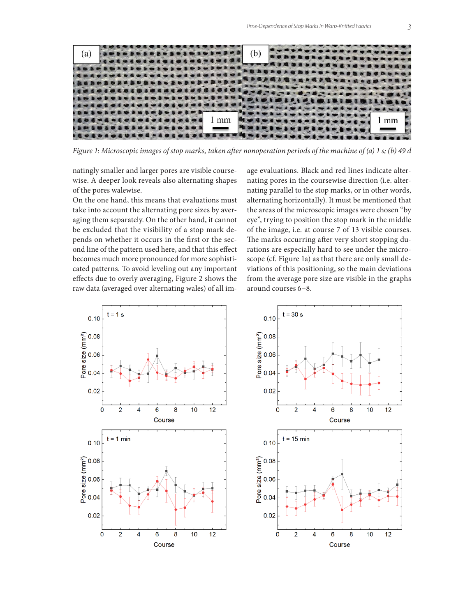

*Figure 1: Microscopic images of stop marks, taken after nonoperation periods of the machine of (a) 1 s; (b) 49 d*

natingly smaller and larger pores are visible coursewise. A deeper look reveals also alternating shapes of the pores walewise.

On the one hand, this means that evaluations must take into account the alternating pore sizes by averaging them separately. On the other hand, it cannot be excluded that the visibility of a stop mark depends on whether it occurs in the first or the second line of the pattern used here, and that this effect becomes much more pronounced for more sophisticated patterns. To avoid leveling out any important effects due to overly averaging, Figure 2 shows the raw data (averaged over alternating wales) of all image evaluations. Black and red lines indicate alternating pores in the coursewise direction (i.e. alternating parallel to the stop marks, or in other words, alternating horizontally). It must be mentioned that the areas of the microscopic images were chosen "by eye", trying to position the stop mark in the middle of the image, i.e. at course 7 of 13 visible courses. The marks occurring after very short stopping durations are especially hard to see under the microscope (cf. Figure 1a) as that there are only small deviations of this positioning, so the main deviations from the average pore size are visible in the graphs around courses 6−8.



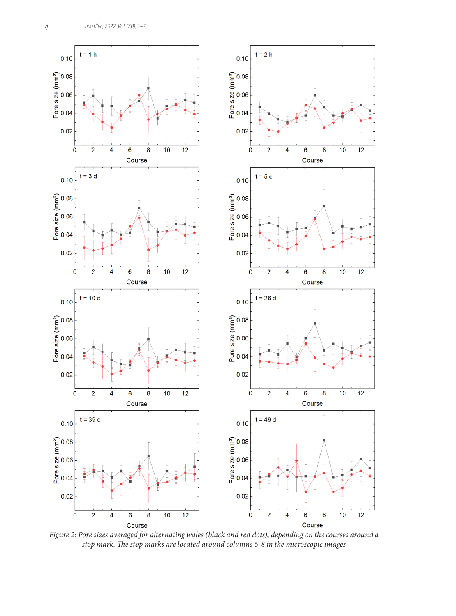

*Figure 2: Pore sizes averaged for alternating wales (black and red dots), depending on the courses around a stop mark. The stop marks are located around columns 6-8 in the microscopic images*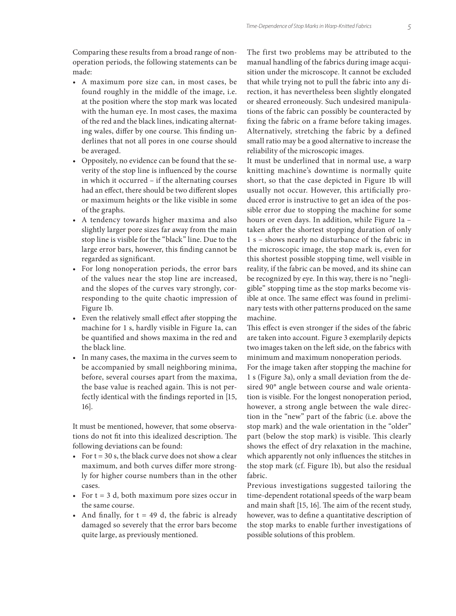Comparing these results from a broad range of nonoperation periods, the following statements can be made:

- A maximum pore size can, in most cases, be found roughly in the middle of the image, i.e. at the position where the stop mark was located with the human eye. In most cases, the maxima of the red and the black lines, indicating alternating wales, differ by one course. This finding underlines that not all pores in one course should be averaged.
- Oppositely, no evidence can be found that the severity of the stop line is influenced by the course in which it occurred – if the alternating courses had an effect, there should be two different slopes or maximum heights or the like visible in some of the graphs.
- A tendency towards higher maxima and also slightly larger pore sizes far away from the main stop line is visible for the "black" line. Due to the large error bars, however, this finding cannot be regarded as significant.
- For long nonoperation periods, the error bars of the values near the stop line are increased, and the slopes of the curves vary strongly, corresponding to the quite chaotic impression of Figure 1b.
- Even the relatively small effect after stopping the machine for 1 s, hardly visible in Figure 1a, can be quantified and shows maxima in the red and the black line.
- In many cases, the maxima in the curves seem to be accompanied by small neighboring minima, before, several courses apart from the maxima, the base value is reached again. This is not perfectly identical with the findings reported in [15, 16].

It must be mentioned, however, that some observations do not fit into this idealized description. The following deviations can be found:

- For  $t = 30$  s, the black curve does not show a clear maximum, and both curves differ more strongly for higher course numbers than in the other cases.
- For  $t = 3$  d, both maximum pore sizes occur in the same course.
- And finally, for  $t = 49$  d, the fabric is already damaged so severely that the error bars become quite large, as previously mentioned.

The first two problems may be attributed to the manual handling of the fabrics during image acquisition under the microscope. It cannot be excluded that while trying not to pull the fabric into any direction, it has nevertheless been slightly elongated or sheared erroneously. Such undesired manipulations of the fabric can possibly be counteracted by fixing the fabric on a frame before taking images. Alternatively, stretching the fabric by a defined small ratio may be a good alternative to increase the reliability of the microscopic images.

It must be underlined that in normal use, a warp knitting machine's downtime is normally quite short, so that the case depicted in Figure 1b will usually not occur. However, this artificially produced error is instructive to get an idea of the possible error due to stopping the machine for some hours or even days. In addition, while Figure 1a – taken after the shortest stopping duration of only 1 s – shows nearly no disturbance of the fabric in the microscopic image, the stop mark is, even for this shortest possible stopping time, well visible in reality, if the fabric can be moved, and its shine can be recognized by eye. In this way, there is no "negligible" stopping time as the stop marks become visible at once. The same effect was found in preliminary tests with other patterns produced on the same machine.

This effect is even stronger if the sides of the fabric are taken into account. Figure 3 exemplarily depicts two images taken on the left side, on the fabrics with minimum and maximum nonoperation periods.

For the image taken after stopping the machine for 1 s (Figure 3a), only a small deviation from the desired 90° angle between course and wale orientation is visible. For the longest nonoperation period, however, a strong angle between the wale direction in the "new" part of the fabric (i.e. above the stop mark) and the wale orientation in the "older" part (below the stop mark) is visible. This clearly shows the effect of dry relaxation in the machine, which apparently not only influences the stitches in the stop mark (cf. Figure 1b), but also the residual fabric.

Previous investigations suggested tailoring the time-dependent rotational speeds of the warp beam and main shaft [15, 16]. The aim of the recent study, however, was to define a quantitative description of the stop marks to enable further investigations of possible solutions of this problem.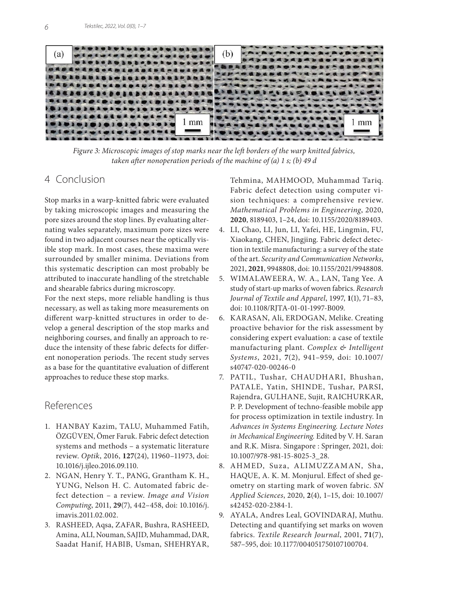

*Figure 3: Microscopic images of stop marks near the left borders of the warp knitted fabrics, taken after nonoperation periods of the machine of (a) 1 s; (b) 49 d*

### 4 Conclusion

Stop marks in a warp-knitted fabric were evaluated by taking microscopic images and measuring the pore sizes around the stop lines. By evaluating alternating wales separately, maximum pore sizes were found in two adjacent courses near the optically visible stop mark. In most cases, these maxima were surrounded by smaller minima. Deviations from this systematic description can most probably be attributed to inaccurate handling of the stretchable and shearable fabrics during microscopy.

For the next steps, more reliable handling is thus necessary, as well as taking more measurements on different warp-knitted structures in order to develop a general description of the stop marks and neighboring courses, and finally an approach to reduce the intensity of these fabric defects for different nonoperation periods. The recent study serves as a base for the quantitative evaluation of different approaches to reduce these stop marks.

## References

- 1. HANBAY Kazim, TALU, Muhammed Fatih, ÖZGÜVEN, Ömer Faruk. Fabric defect detection systems and methods – a systematic literature review. *Optik*, 2016, **127**(24), 11960–11973, doi: 10.1016/j.ijleo.2016.09.110.
- 2. NGAN, Henry Y. T., PANG, Grantham K. H., YUNG, Nelson H. C. Automated fabric defect detection – a review. *Image and Vision Computing*, 2011, **29**(7), 442–458, doi: 10.1016/j. imavis.2011.02.002.
- 3. RASHEED, Aqsa, ZAFAR, Bushra, RASHEED, Amina, ALI, Nouman, SAJID, Muhammad, DAR, Saadat Hanif, HABIB, Usman, SHEHRYAR,

Tehmina, MAHMOOD, Muhammad Tariq. Fabric defect detection using computer vision techniques: a comprehensive review. *Mathematical Problems in Engineering*, 2020, **2020**, 8189403, 1–24, doi: 10.1155/2020/8189403.

- 4. LI, Chao, LI, Jun, LI, Yafei, HE, Lingmin, FU, Xiaokang, CHEN, Jingjing. Fabric defect detection in textile manufacturing: a survey of the state of the art. *Security and Communication Networks*, 2021, **2021**, 9948808, doi: 10.1155/2021/9948808.
- 5. WIMALAWEERA, W. A., LAN, Tang Yee. A study of start-up marks of woven fabrics. *Research Journal of Textile and Apparel*, 1997, **1**(1), 71–83, doi: 10.1108/RJTA-01-01-1997-B009.
- 6. KARASAN, Ali, ERDOGAN, Melike. Creating proactive behavior for the risk assessment by considering expert evaluation: a case of textile manufacturing plant. *Complex & Intelligent Systems*, 2021, **7**(2), 941–959, doi: 10.1007/ s40747-020-00246-0
- 7. PATIL, Tushar, CHAUDHARI, Bhushan, PATALE, Yatin, SHINDE, Tushar, PARSI, Rajendra, GULHANE, Sujit, RAICHURKAR, P. P. Development of techno-feasible mobile app for process optimization in textile industry. In *Advances in Systems Engineering. Lecture Notes in Mechanical Engineering.* Edited by V. H. Saran and R.K. Misra. Singapore : Springer, 2021, doi: 10.1007/978-981-15-8025-3\_28.
- 8. AHMED, Suza, ALIMUZZAMAN, Sha, HAQUE, A. K. M. Monjurul. Effect of shed geometry on starting mark of woven fabric. *SN Applied Sciences*, 2020, **2**(4), 1–15, doi: 10.1007/ s42452-020-2384-1.
- 9. AYALA, Andres Leal, GOVINDARAJ, Muthu. Detecting and quantifying set marks on woven fabrics. *Textile Research Journal*, 2001, **71**(7), 587–595, doi: 10.1177/004051750107100704.